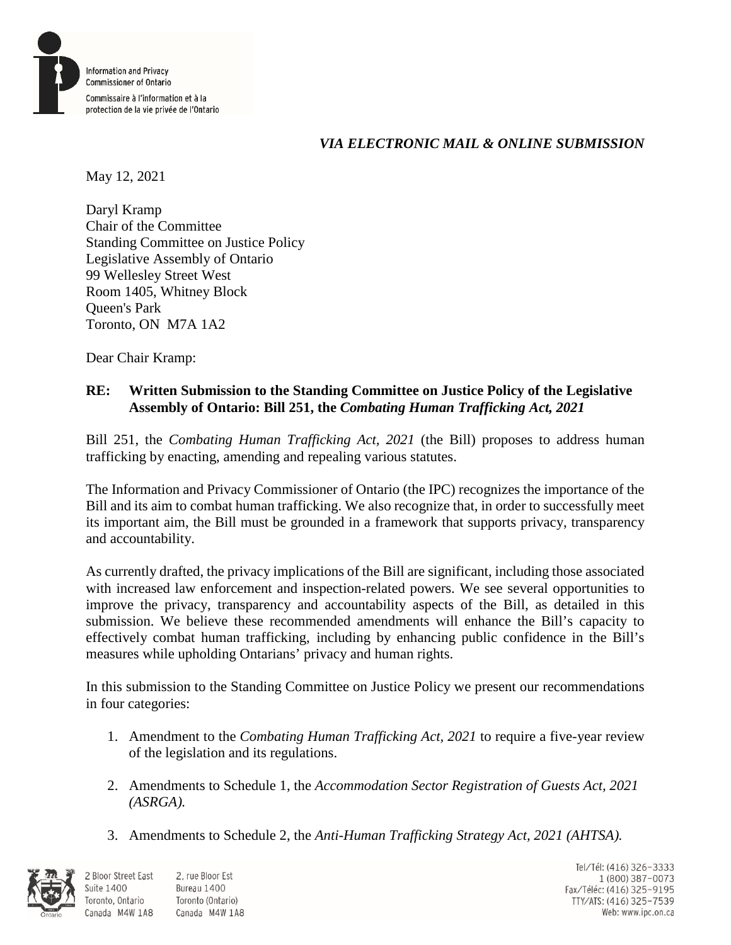

# *VIA ELECTRONIC MAIL & ONLINE SUBMISSION*

May 12, 2021

Daryl Kramp Chair of the Committee Standing Committee on Justice Policy Legislative Assembly of Ontario 99 Wellesley Street West Room 1405, Whitney Block Queen's Park Toronto, ON M7A 1A2

Dear Chair Kramp:

# **RE: Written Submission to the Standing Committee on Justice Policy of the Legislative Assembly of Ontario: Bill 251, the** *Combating Human Trafficking Act, 2021*

Bill 251, the *Combating Human Trafficking Act, 2021* (the Bill) proposes to address human trafficking by enacting, amending and repealing various statutes.

The Information and Privacy Commissioner of Ontario (the IPC) recognizes the importance of the Bill and its aim to combat human trafficking. We also recognize that, in order to successfully meet its important aim, the Bill must be grounded in a framework that supports privacy, transparency and accountability.

As currently drafted, the privacy implications of the Bill are significant, including those associated with increased law enforcement and inspection-related powers. We see several opportunities to improve the privacy, transparency and accountability aspects of the Bill, as detailed in this submission. We believe these recommended amendments will enhance the Bill's capacity to effectively combat human trafficking, including by enhancing public confidence in the Bill's measures while upholding Ontarians' privacy and human rights.

In this submission to the Standing Committee on Justice Policy we present our recommendations in four categories:

- 1. Amendment to the *Combating Human Trafficking Act, 2021* to require a five-year review of the legislation and its regulations.
- 2. Amendments to Schedule 1, the *Accommodation Sector Registration of Guests Act, 2021 (ASRGA).*
- 3. Amendments to Schedule 2, the *Anti-Human Trafficking Strategy Act, 2021 (AHTSA).*



**Suite 1400**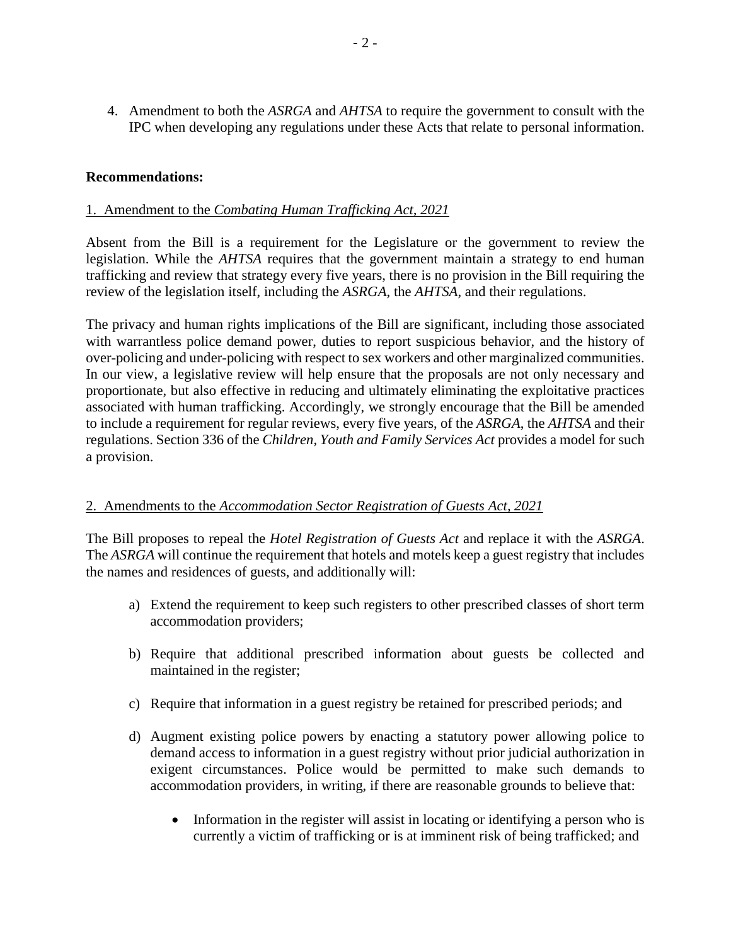4. Amendment to both the *ASRGA* and *AHTSA* to require the government to consult with the IPC when developing any regulations under these Acts that relate to personal information.

### **Recommendations:**

#### 1. Amendment to the *Combating Human Trafficking Act, 2021*

Absent from the Bill is a requirement for the Legislature or the government to review the legislation. While the *AHTSA* requires that the government maintain a strategy to end human trafficking and review that strategy every five years, there is no provision in the Bill requiring the review of the legislation itself, including the *ASRGA*, the *AHTSA*, and their regulations.

The privacy and human rights implications of the Bill are significant, including those associated with warrantless police demand power, duties to report suspicious behavior, and the history of over-policing and under-policing with respect to sex workers and other marginalized communities. In our view, a legislative review will help ensure that the proposals are not only necessary and proportionate, but also effective in reducing and ultimately eliminating the exploitative practices associated with human trafficking. Accordingly, we strongly encourage that the Bill be amended to include a requirement for regular reviews, every five years, of the *ASRGA*, the *AHTSA* and their regulations. Section 336 of the *Children, Youth and Family Services Act* provides a model for such a provision.

#### 2. Amendments to the *Accommodation Sector Registration of Guests Act, 2021*

The Bill proposes to repeal the *Hotel Registration of Guests Act* and replace it with the *ASRGA*. The *ASRGA* will continue the requirement that hotels and motels keep a guest registry that includes the names and residences of guests, and additionally will:

- a) Extend the requirement to keep such registers to other prescribed classes of short term accommodation providers;
- b) Require that additional prescribed information about guests be collected and maintained in the register;
- c) Require that information in a guest registry be retained for prescribed periods; and
- d) Augment existing police powers by enacting a statutory power allowing police to demand access to information in a guest registry without prior judicial authorization in exigent circumstances. Police would be permitted to make such demands to accommodation providers, in writing, if there are reasonable grounds to believe that:
	- Information in the register will assist in locating or identifying a person who is currently a victim of trafficking or is at imminent risk of being trafficked; and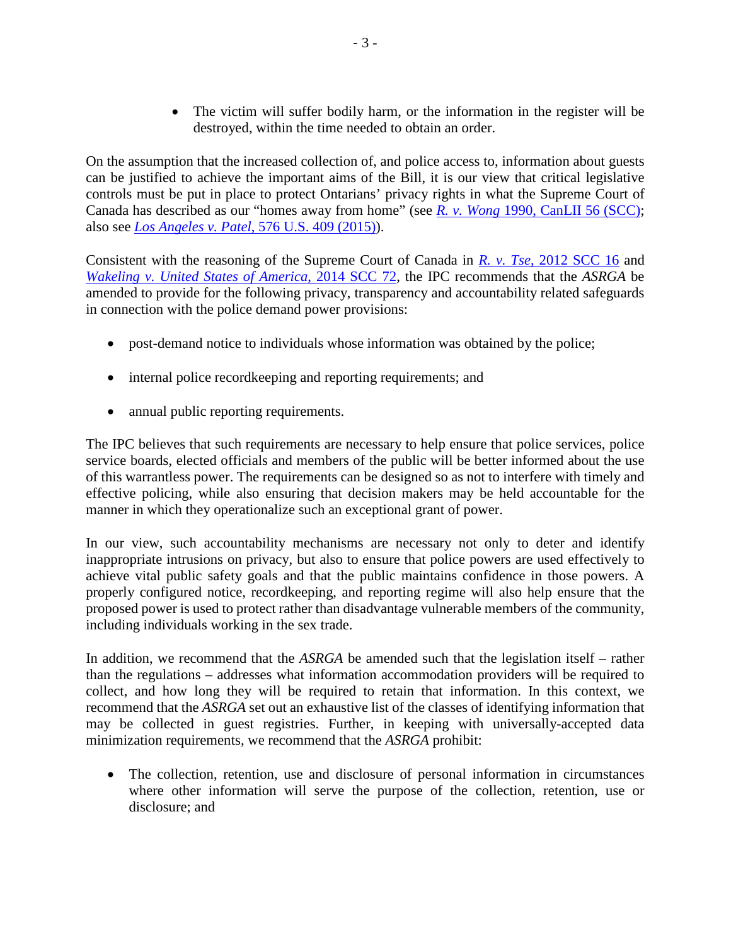• The victim will suffer bodily harm, or the information in the register will be destroyed, within the time needed to obtain an order.

On the assumption that the increased collection of, and police access to, information about guests can be justified to achieve the important aims of the Bill, it is our view that critical legislative controls must be put in place to protect Ontarians' privacy rights in what the Supreme Court of Canada has described as our "homes away from home" (see *R. v. Wong* 1990, CanLII 56 (SCC); also see *Los Angeles v. Patel*, 576 U.S. 409 (2015)).

Consistent with the reasoning of the Supreme Court of Canada in *R. v. Tse*, 2012 SCC 16 and *Wakeling v. United States of America*, 2014 SCC 72, the IPC recommends that the *ASRGA* be amended to provide for the following privacy, transparency and accountability related safeguards in connection with the police demand power provisions:

- post-demand notice to individuals whose information was obtained by the police;
- internal police record keeping and reporting requirements; and
- annual public reporting requirements.

The IPC believes that such requirements are necessary to help ensure that police services, police service boards, elected officials and members of the public will be better informed about the use of this warrantless power. The requirements can be designed so as not to interfere with timely and effective policing, while also ensuring that decision makers may be held accountable for the manner in which they operationalize such an exceptional grant of power.

In our view, such accountability mechanisms are necessary not only to deter and identify inappropriate intrusions on privacy, but also to ensure that police powers are used effectively to achieve vital public safety goals and that the public maintains confidence in those powers. A properly configured notice, recordkeeping, and reporting regime will also help ensure that the proposed power is used to protect rather than disadvantage vulnerable members of the community, including individuals working in the sex trade.

In addition, we recommend that the *ASRGA* be amended such that the legislation itself – rather than the regulations – addresses what information accommodation providers will be required to collect, and how long they will be required to retain that information. In this context, we recommend that the *ASRGA* set out an exhaustive list of the classes of identifying information that may be collected in guest registries. Further, in keeping with universally-accepted data minimization requirements, we recommend that the *ASRGA* prohibit:

• The collection, retention, use and disclosure of personal information in circumstances where other information will serve the purpose of the collection, retention, use or disclosure; and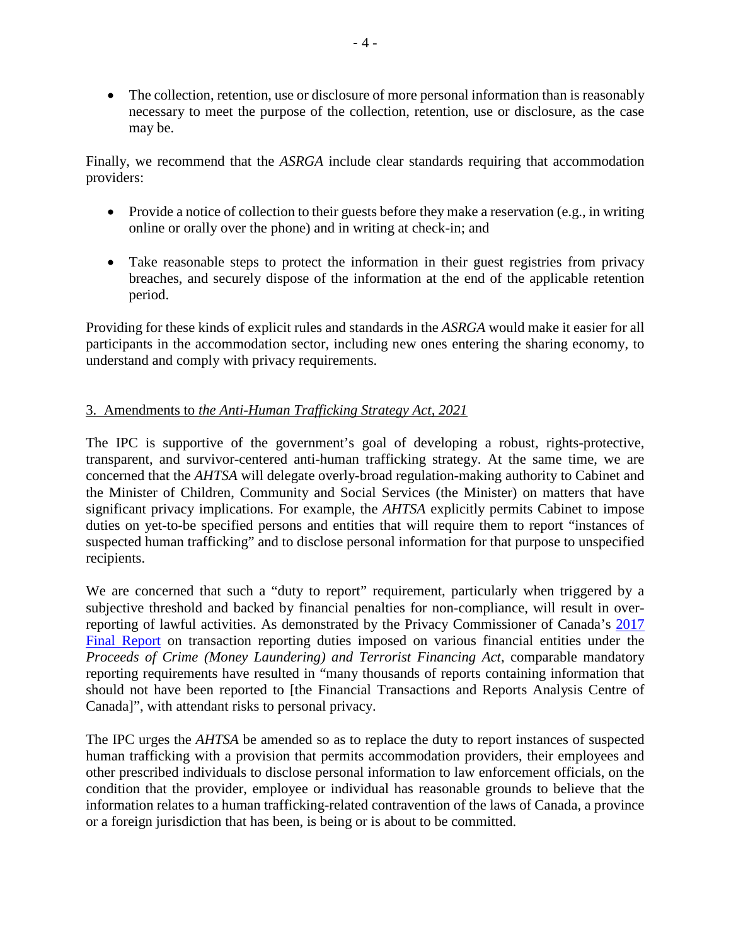• The collection, retention, use or disclosure of more personal information than is reasonably necessary to meet the purpose of the collection, retention, use or disclosure, as the case may be.

Finally, we recommend that the *ASRGA* include clear standards requiring that accommodation providers:

- Provide a notice of collection to their guests before they make a reservation (e.g., in writing online or orally over the phone) and in writing at check-in; and
- Take reasonable steps to protect the information in their guest registries from privacy breaches, and securely dispose of the information at the end of the applicable retention period.

Providing for these kinds of explicit rules and standards in the *ASRGA* would make it easier for all participants in the accommodation sector, including new ones entering the sharing economy, to understand and comply with privacy requirements.

## 3. Amendments to *the Anti-Human Trafficking Strategy Act, 2021*

The IPC is supportive of the government's goal of developing a robust, rights-protective, transparent, and survivor-centered anti-human trafficking strategy. At the same time, we are concerned that the *AHTSA* will delegate overly-broad regulation-making authority to Cabinet and the Minister of Children, Community and Social Services (the Minister) on matters that have significant privacy implications. For example, the *AHTSA* explicitly permits Cabinet to impose duties on yet-to-be specified persons and entities that will require them to report "instances of suspected human trafficking" and to disclose personal information for that purpose to unspecified recipients.

We are concerned that such a "duty to report" requirement, particularly when triggered by a subjective threshold and backed by financial penalties for non-compliance, will result in overreporting of lawful activities. As demonstrated by the Privacy Commissioner of Canada's 2017 Final Report on transaction reporting duties imposed on various financial entities under the *Proceeds of Crime (Money Laundering) and Terrorist Financing Act*, comparable mandatory reporting requirements have resulted in "many thousands of reports containing information that should not have been reported to [the Financial Transactions and Reports Analysis Centre of Canada]", with attendant risks to personal privacy.

The IPC urges the *AHTSA* be amended so as to replace the duty to report instances of suspected human trafficking with a provision that permits accommodation providers, their employees and other prescribed individuals to disclose personal information to law enforcement officials, on the condition that the provider, employee or individual has reasonable grounds to believe that the information relates to a human trafficking-related contravention of the laws of Canada, a province or a foreign jurisdiction that has been, is being or is about to be committed.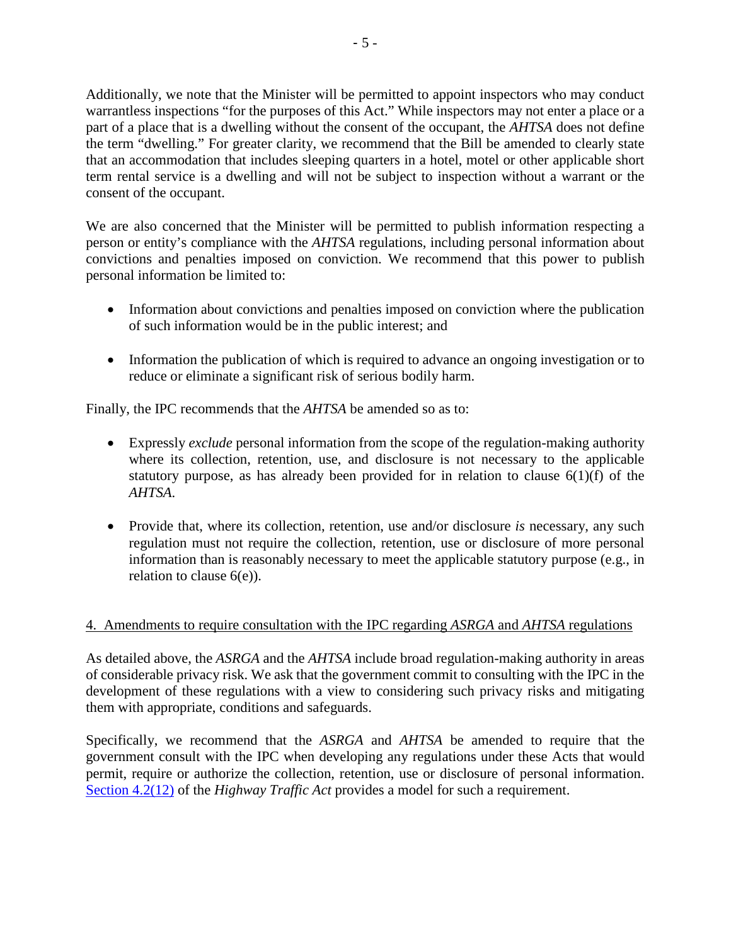Additionally, we note that the Minister will be permitted to appoint inspectors who may conduct warrantless inspections "for the purposes of this Act." While inspectors may not enter a place or a part of a place that is a dwelling without the consent of the occupant, the *AHTSA* does not define the term "dwelling." For greater clarity, we recommend that the Bill be amended to clearly state that an accommodation that includes sleeping quarters in a hotel, motel or other applicable short term rental service is a dwelling and will not be subject to inspection without a warrant or the consent of the occupant.

We are also concerned that the Minister will be permitted to publish information respecting a person or entity's compliance with the *AHTSA* regulations, including personal information about convictions and penalties imposed on conviction. We recommend that this power to publish personal information be limited to:

- Information about convictions and penalties imposed on conviction where the publication of such information would be in the public interest; and
- Information the publication of which is required to advance an ongoing investigation or to reduce or eliminate a significant risk of serious bodily harm.

Finally, the IPC recommends that the *AHTSA* be amended so as to:

- Expressly *exclude* personal information from the scope of the regulation-making authority where its collection, retention, use, and disclosure is not necessary to the applicable statutory purpose, as has already been provided for in relation to clause  $6(1)(f)$  of the *AHTSA*.
- Provide that, where its collection, retention, use and/or disclosure *is* necessary, any such regulation must not require the collection, retention, use or disclosure of more personal information than is reasonably necessary to meet the applicable statutory purpose (e.g., in relation to clause 6(e)).

## 4. Amendments to require consultation with the IPC regarding *ASRGA* and *AHTSA* regulations

As detailed above, the *ASRGA* and the *AHTSA* include broad regulation-making authority in areas of considerable privacy risk. We ask that the government commit to consulting with the IPC in the development of these regulations with a view to considering such privacy risks and mitigating them with appropriate, conditions and safeguards.

Specifically, we recommend that the *ASRGA* and *AHTSA* be amended to require that the government consult with the IPC when developing any regulations under these Acts that would permit, require or authorize the collection, retention, use or disclosure of personal information. Section 4.2(12) of the *Highway Traffic Act* provides a model for such a requirement.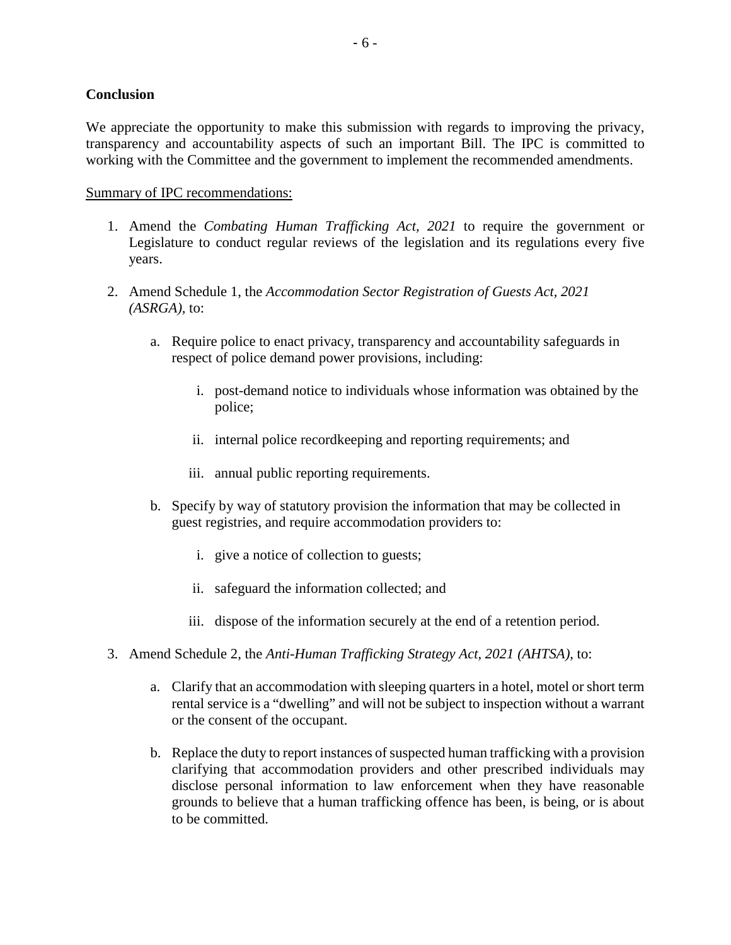We appreciate the opportunity to make this submission with regards to improving the privacy, transparency and accountability aspects of such an important Bill. The IPC is committed to working with the Committee and the government to implement the recommended amendments.

### Summary of IPC recommendations:

- 1. Amend the *Combating Human Trafficking Act, 2021* to require the government or Legislature to conduct regular reviews of the legislation and its regulations every five years.
- 2. Amend Schedule 1, the *Accommodation Sector Registration of Guests Act, 2021 (ASRGA),* to:
	- a. Require police to enact privacy, transparency and accountability safeguards in respect of police demand power provisions, including:
		- i. post-demand notice to individuals whose information was obtained by the police;
		- ii. internal police recordkeeping and reporting requirements; and
		- iii. annual public reporting requirements.
	- b. Specify by way of statutory provision the information that may be collected in guest registries, and require accommodation providers to:
		- i. give a notice of collection to guests;
		- ii. safeguard the information collected; and
		- iii. dispose of the information securely at the end of a retention period.
- 3. Amend Schedule 2, the *Anti-Human Trafficking Strategy Act, 2021 (AHTSA)*, to:
	- a. Clarify that an accommodation with sleeping quarters in a hotel, motel or short term rental service is a "dwelling" and will not be subject to inspection without a warrant or the consent of the occupant.
	- b. Replace the duty to report instances of suspected human trafficking with a provision clarifying that accommodation providers and other prescribed individuals may disclose personal information to law enforcement when they have reasonable grounds to believe that a human trafficking offence has been, is being, or is about to be committed.